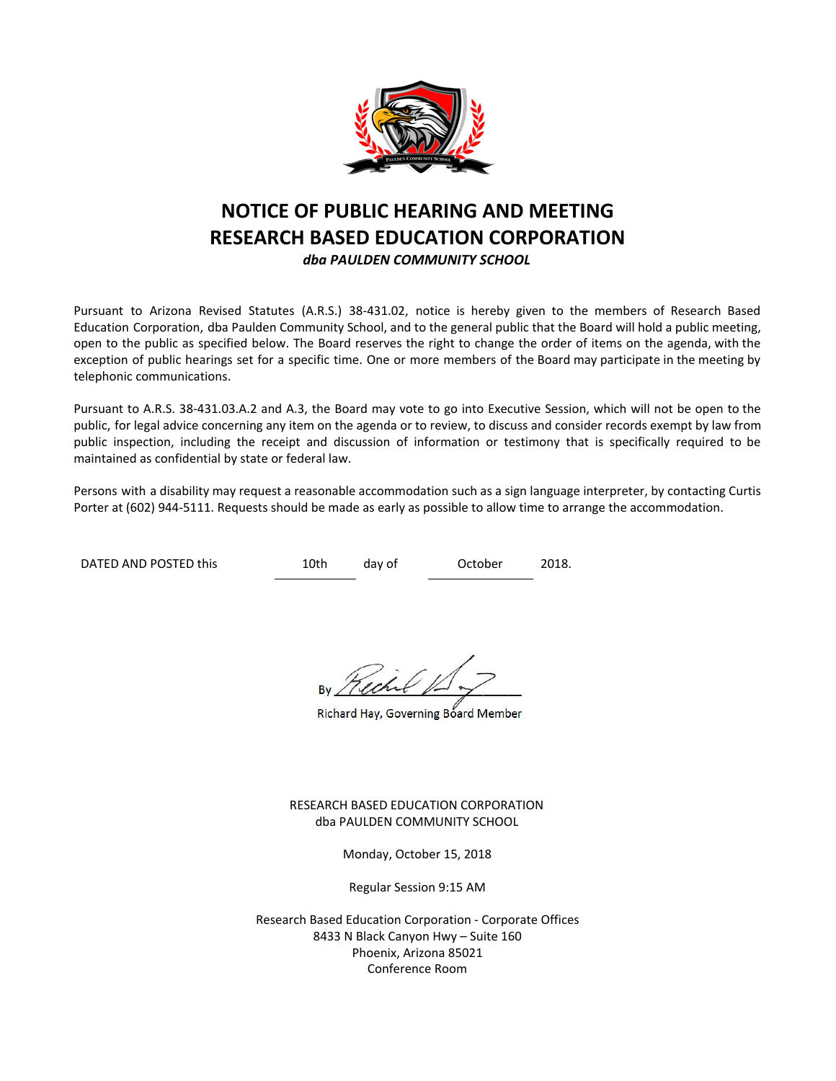

# **NOTICE OF PUBLIC HEARING AND MEETING RESEARCH BASED EDUCATION CORPORATION** *dba PAULDEN COMMUNITY SCHOOL*

Pursuant to Arizona Revised Statutes (A.R.S.) 38-431.02, notice is hereby given to the members of Research Based Education Corporation, dba Paulden Community School, and to the general public that the Board will hold a public meeting, open to the public as specified below. The Board reserves the right to change the order of items on the agenda, with the exception of public hearings set for a specific time. One or more members of the Board may participate in the meeting by telephonic communications.

Pursuant to A.R.S. 38-431.03.A.2 and A.3, the Board may vote to go into Executive Session, which will not be open to the public, for legal advice concerning any item on the agenda or to review, to discuss and consider records exempt by law from public inspection, including the receipt and discussion of information or testimony that is specifically required to be maintained as confidential by state or federal law.

Persons with a disability may request a reasonable accommodation such as a sign language interpreter, by contacting Curtis Porter at (602) 944-5111. Requests should be made as early as possible to allow time to arrange the accommodation.

DATED AND POSTED this  $10th$  day of October 2018.

Richard Hay, Governing Board Member

RESEARCH BASED EDUCATION CORPORATION dba PAULDEN COMMUNITY SCHOOL

Monday, October 15, 2018

Regular Session 9:15 AM

Research Based Education Corporation - Corporate Offices 8433 N Black Canyon Hwy – Suite 160 Phoenix, Arizona 85021 Conference Room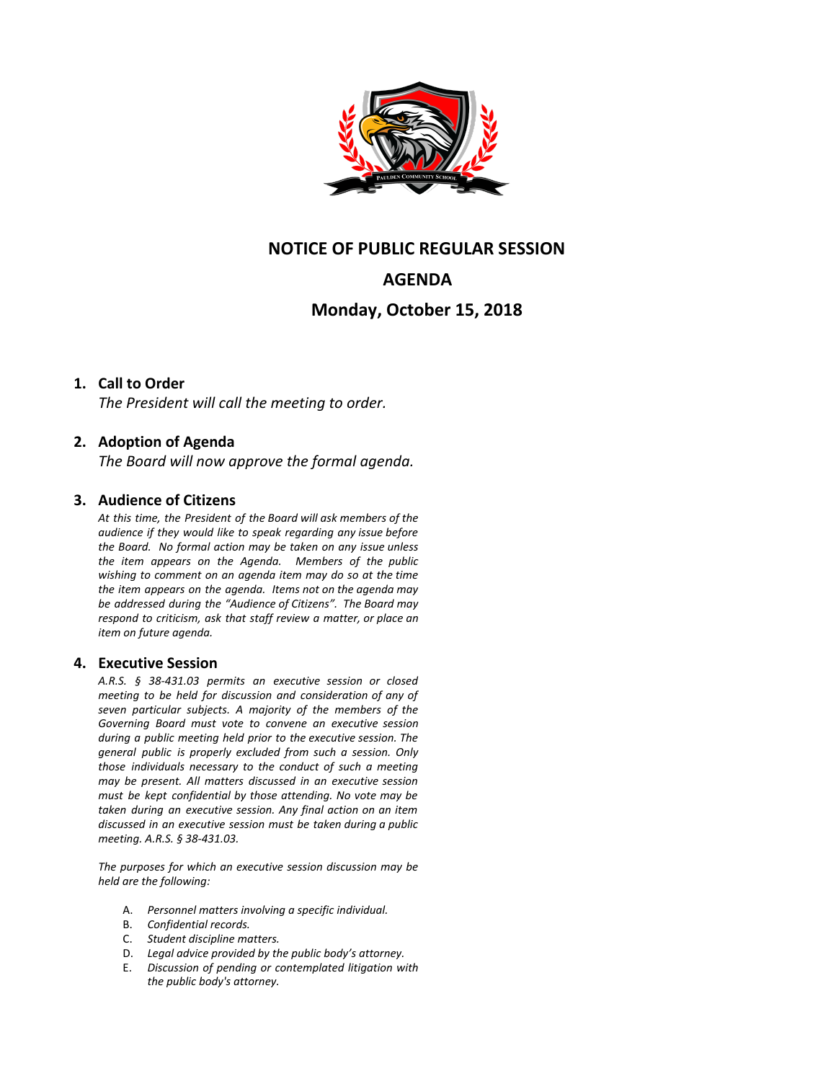

## **NOTICE OF PUBLIC REGULAR SESSION**

# **AGENDA**

## **Monday, October 15, 2018**

### **1. Call to Order**

*The President will call the meeting to order.*

### **2. Adoption of Agenda**

*The Board will now approve the formal agenda.*

#### **3. Audience of Citizens**

*At this time, the President of the Board will ask members of the audience if they would like to speak regarding any issue before the Board. No formal action may be taken on any issue unless the item appears on the Agenda. Members of the public wishing to comment on an agenda item may do so at the time the item appears on the agenda. Items not on the agenda may be addressed during the "Audience of Citizens". The Board may respond to criticism, ask that staff review a matter, or place an item on future agenda.*

#### **4. Executive Session**

*A.R.S. § 38-431.03 permits an executive session or closed meeting to be held for discussion and consideration of any of seven particular subjects. A majority of the members of the Governing Board must vote to convene an executive session during a public meeting held prior to the executive session. The general public is properly excluded from such a session. Only those individuals necessary to the conduct of such a meeting may be present. All matters discussed in an executive session must be kept confidential by those attending. No vote may be taken during an executive session. Any final action on an item discussed in an executive session must be taken during a public meeting. A.R.S. § 38-431.03.*

*The purposes for which an executive session discussion may be held are the following:*

- A. *Personnel matters involving a specific individual.*
- B. *Confidential records.*
- C. *Student discipline matters.*
- D. *Legal advice provided by the public body's attorney.*
- E. *Discussion of pending or contemplated litigation with the public body's attorney.*